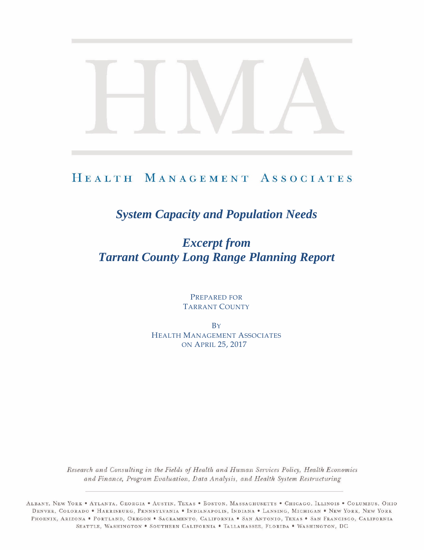# HEALTH MANAGEMENT ASSOCIATES

# *System Capacity and Population Needs*

# *Excerpt from Tarrant County Long Range Planning Report*

PREPARED FOR TARRANT COUNTY

**B**Y HEALTH MANAGEMENT ASSOCIATES ON APRIL 25, 2017

Research and Consulting in the Fields of Health and Human Services Policy, Health Economics and Finance, Program Evaluation, Data Analysis, and Health System Restructuring

ALBANY, NEW YORK . ATLANTA, GEORGIA . AUSTIN, TEXAS . BOSTON, MASSACHUSETTS . CHICAGO, ILLINOIS . COLUMBUS, OHIO DENVER, COLORADO • HARRISBURG, PENNSYLVANIA • INDIANAPOLIS, INDIANA • LANSING, MICHIGAN • NEW YORK, NEW YORK PHOENIX, ARIZONA . PORTLAND, OREGON . SACRAMENTO, CALIFORNIA . SAN ANTONIO, TEXAS . SAN FRANCISCO, CALIFORNIA SEATTLE, WASHINGTON . SOUTHERN CALIFORNIA . TALLAHASSEE, FLORIDA . WASHINGTON, DC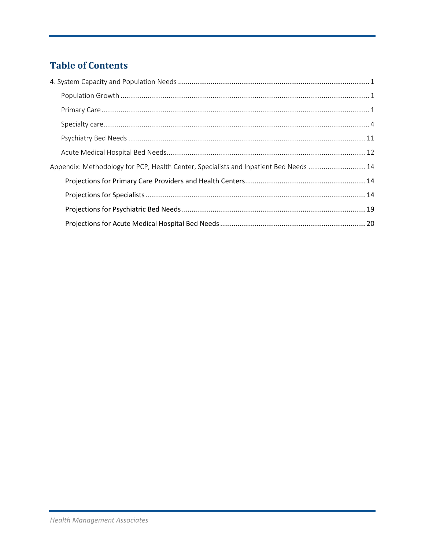# **Table of Contents**

| Appendix: Methodology for PCP, Health Center, Specialists and Inpatient Bed Needs 14 |  |
|--------------------------------------------------------------------------------------|--|
|                                                                                      |  |
|                                                                                      |  |
|                                                                                      |  |
|                                                                                      |  |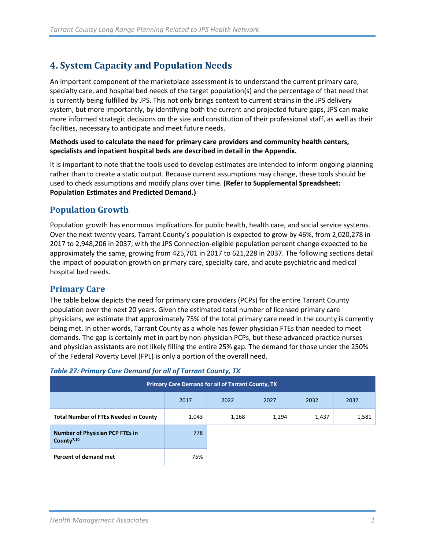## <span id="page-2-0"></span>**4. System Capacity and Population Needs**

An important component of the marketplace assessment is to understand the current primary care, specialty care, and hospital bed needs of the target population(s) and the percentage of that need that is currently being fulfilled by JPS. This not only brings context to current strains in the JPS delivery system, but more importantly, by identifying both the current and projected future gaps, JPS can make more informed strategic decisions on the size and constitution of their professional staff, as well as their facilities, necessary to anticipate and meet future needs.

#### **Methods used to calculate the need for primary care providers and community health centers, specialists and inpatient hospital beds are described in detail in the Appendix.**

It is important to note that the tools used to develop estimates are intended to inform ongoing planning rather than to create a static output. Because current assumptions may change, these tools should be used to check assumptions and modify plans over time. **(Refer to Supplemental Spreadsheet: Population Estimates and Predicted Demand.)**

### <span id="page-2-1"></span>**Population Growth**

Population growth has enormous implications for public health, health care, and social service systems. Over the next twenty years, Tarrant County's population is expected to grow by 46%, from 2,020,278 in 2017 to 2,948,206 in 2037, with the JPS Connection-eligible population percent change expected to be approximately the same, growing from 425,701 in 2017 to 621,228 in 2037. The following sections detail the impact of population growth on primary care, specialty care, and acute psychiatric and medical hospital bed needs.

### <span id="page-2-2"></span>**Primary Care**

The table below depicts the need for primary care providers (PCPs) for the entire Tarrant County population over the next 20 years. Given the estimated total number of licensed primary care physicians, we estimate that approximately 75% of the total primary care need in the county is currently being met. In other words, Tarrant County as a whole has fewer physician FTEs than needed to meet demands. The gap is certainly met in part by non-physician PCPs, but these advanced practice nurses and physician assistants are not likely filling the entire 25% gap. The demand for those under the 250% of the Federal Poverty Level (FPL) is only a portion of the overall need.

| <b>Primary Care Demand for all of Tarrant County, TX</b>         |       |       |       |       |       |  |  |  |
|------------------------------------------------------------------|-------|-------|-------|-------|-------|--|--|--|
|                                                                  | 2017  | 2022  | 2027  | 2032  | 2037  |  |  |  |
| <b>Total Number of FTEs Needed in County</b>                     | 1,043 | 1,168 | 1,294 | 1,437 | 1,581 |  |  |  |
| <b>Number of Physician PCP FTEs in</b><br>County <sup>7,10</sup> | 778   |       |       |       |       |  |  |  |
| Percent of demand met                                            | 75%   |       |       |       |       |  |  |  |

#### *Table 27: Primary Care Demand for all of Tarrant County, TX*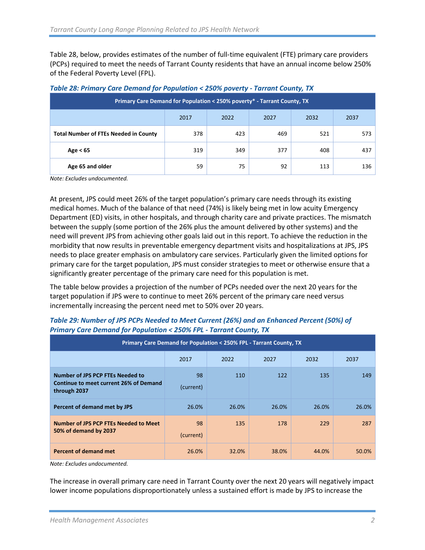Table 28, below, provides estimates of the number of full-time equivalent (FTE) primary care providers (PCPs) required to meet the needs of Tarrant County residents that have an annual income below 250% of the Federal Poverty Level (FPL).

| Primary Care Demand for Population < 250% poverty* - Tarrant County, TX |     |     |     |     |     |  |  |  |
|-------------------------------------------------------------------------|-----|-----|-----|-----|-----|--|--|--|
| 2017<br>2032<br>2022<br>2027<br>2037                                    |     |     |     |     |     |  |  |  |
| <b>Total Number of FTEs Needed in County</b>                            | 378 | 423 | 469 | 521 | 573 |  |  |  |
| Age $< 65$                                                              | 319 | 349 | 377 | 408 | 437 |  |  |  |
| Age 65 and older                                                        | 59  | 75  | 92  | 113 | 136 |  |  |  |

#### *Table 28: Primary Care Demand for Population < 250% poverty - Tarrant County, TX*

*Note: Excludes undocumented.*

At present, JPS could meet 26% of the target population's primary care needs through its existing medical homes. Much of the balance of that need (74%) is likely being met in low acuity Emergency Department (ED) visits, in other hospitals, and through charity care and private practices. The mismatch between the supply (some portion of the 26% plus the amount delivered by other systems) and the need will prevent JPS from achieving other goals laid out in this report. To achieve the reduction in the morbidity that now results in preventable emergency department visits and hospitalizations at JPS, JPS needs to place greater emphasis on ambulatory care services. Particularly given the limited options for primary care for the target population, JPS must consider strategies to meet or otherwise ensure that a significantly greater percentage of the primary care need for this population is met.

The table below provides a projection of the number of PCPs needed over the next 20 years for the target population if JPS were to continue to meet 26% percent of the primary care need versus incrementally increasing the percent need met to 50% over 20 years.

| Primary Care Demand for Population < 250% FPL - Tarrant County, TX                         |                 |       |       |       |       |  |  |  |
|--------------------------------------------------------------------------------------------|-----------------|-------|-------|-------|-------|--|--|--|
|                                                                                            | 2017            | 2022  | 2027  | 2032  | 2037  |  |  |  |
| Number of JPS PCP FTEs Needed to<br>Continue to meet current 26% of Demand<br>through 2037 | 98<br>(current) | 110   | 122   | 135   | 149   |  |  |  |
| Percent of demand met by JPS                                                               | 26.0%           | 26.0% | 26.0% | 26.0% | 26.0% |  |  |  |
| Number of JPS PCP FTEs Needed to Meet<br>50% of demand by 2037                             | 98<br>(current) | 135   | 178   | 229   | 287   |  |  |  |
| <b>Percent of demand met</b>                                                               | 26.0%           | 32.0% | 38.0% | 44.0% | 50.0% |  |  |  |

#### *Table 29: Number of JPS PCPs Needed to Meet Current (26%) and an Enhanced Percent (50%) of Primary Care Demand for Population < 250% FPL - Tarrant County, TX*

*Note: Excludes undocumented.*

The increase in overall primary care need in Tarrant County over the next 20 years will negatively impact lower income populations disproportionately unless a sustained effort is made by JPS to increase the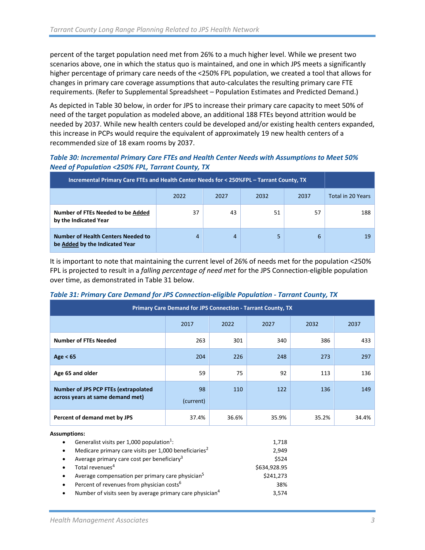percent of the target population need met from 26% to a much higher level. While we present two scenarios above, one in which the status quo is maintained, and one in which JPS meets a significantly higher percentage of primary care needs of the <250% FPL population, we created a tool that allows for changes in primary care coverage assumptions that auto-calculates the resulting primary care FTE requirements. (Refer to Supplemental Spreadsheet – Population Estimates and Predicted Demand.)

As depicted in Table 30 below, in order for JPS to increase their primary care capacity to meet 50% of need of the target population as modeled above, an additional 188 FTEs beyond attrition would be needed by 2037. While new health centers could be developed and/or existing health centers expanded, this increase in PCPs would require the equivalent of approximately 19 new health centers of a recommended size of 18 exam rooms by 2037.

#### *Table 30: Incremental Primary Care FTEs and Health Center Needs with Assumptions to Meet 50% Need of Population <250% FPL, Tarrant County, TX*

| Incremental Primary Care FTEs and Health Center Needs for < 250%FPL - Tarrant County, TX |      |                      |    |    |     |  |  |  |  |
|------------------------------------------------------------------------------------------|------|----------------------|----|----|-----|--|--|--|--|
|                                                                                          | 2022 | 2037<br>2027<br>2032 |    |    |     |  |  |  |  |
| Number of FTEs Needed to be Added<br>by the Indicated Year                               | 37   | 43                   | 51 | 57 | 188 |  |  |  |  |
| <b>Number of Health Centers Needed to</b><br>be Added by the Indicated Year              | 4    | 4                    | 5  | 6  | 19  |  |  |  |  |

It is important to note that maintaining the current level of 26% of needs met for the population <250% FPL is projected to result in a *falling percentage of need met* for the JPS Connection-eligible population over time, as demonstrated in Table 31 below.

#### *Table 31: Primary Care Demand for JPS Connection-eligible Population - Tarrant County, TX*

| Primary Care Demand for JPS Connection - Tarrant County, TX              |                 |                      |       |       |       |  |      |  |  |
|--------------------------------------------------------------------------|-----------------|----------------------|-------|-------|-------|--|------|--|--|
|                                                                          | 2017            | 2022<br>2027<br>2032 |       |       |       |  | 2037 |  |  |
| <b>Number of FTEs Needed</b>                                             | 263             | 301                  | 340   | 386   | 433   |  |      |  |  |
| Age $< 65$                                                               | 204             | 226                  | 248   | 273   | 297   |  |      |  |  |
| Age 65 and older                                                         | 59              | 75                   | 92    | 113   | 136   |  |      |  |  |
| Number of JPS PCP FTEs (extrapolated<br>across years at same demand met) | 98<br>(current) | 110                  | 122   | 136   | 149   |  |      |  |  |
| Percent of demand met by JPS                                             | 37.4%           | 36.6%                | 35.9% | 35.2% | 34.4% |  |      |  |  |

#### **Assumptions:**

| $\bullet$ | Generalist visits per 1,000 population <sup>1</sup> :                | 1,718        |
|-----------|----------------------------------------------------------------------|--------------|
| $\bullet$ | Medicare primary care visits per 1,000 beneficiaries <sup>2</sup>    | 2.949        |
| $\bullet$ | Average primary care cost per beneficiary <sup>3</sup>               | \$524        |
| $\bullet$ | Total revenues <sup>4</sup>                                          | \$634,928.95 |
| $\bullet$ | Average compensation per primary care physician <sup>5</sup>         | \$241,273    |
| $\bullet$ | Percent of revenues from physician costs <sup>6</sup>                | 38%          |
| $\bullet$ | Number of visits seen by average primary care physician <sup>4</sup> | 3.574        |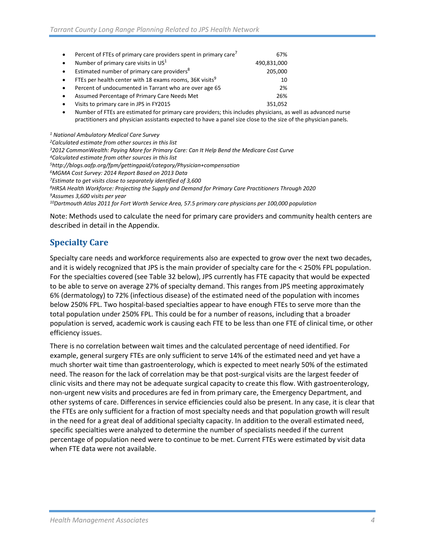| $\bullet$ | Percent of FTEs of primary care providers spent in primary care <sup>7</sup> | 67%         |
|-----------|------------------------------------------------------------------------------|-------------|
| $\bullet$ | Number of primary care visits in $US1$                                       | 490,831,000 |
| $\bullet$ | Estimated number of primary care providers <sup>8</sup>                      | 205,000     |
| $\bullet$ | FTEs per health center with 18 exams rooms, 36K visits <sup>9</sup>          | 10          |
| $\bullet$ | Percent of undocumented in Tarrant who are over age 65                       | 2%          |
| $\bullet$ | Assumed Percentage of Primary Care Needs Met                                 | 26%         |
| $\bullet$ | Visits to primary care in JPS in FY2015                                      | 351,052     |

• Number of FTEs are estimated for primary care providers; this includes physicians, as well as advanced nurse practitioners and physician assistants expected to have a panel size close to the size of the physician panels.

*<sup>1</sup> National Ambulatory Medical Care Survey 2Calculated estimate from other sources in this list 32012 CommonWealth: Paying More for Primary Care: Can It Help Bend the Medicare Cost Curve 4Calculated estimate from other sources in this list 5http://blogs.aafp.org/fpm/gettingpaid/category/Physician+compensation 6MGMA Cost Survey: 2014 Report Based on 2013 Data 7Estimate to get visits close to separately identified of 3,600 8HRSA Health Workforce: Projecting the Supply and Demand for Primary Care Practitioners Through 2020 9Assumes 3,600 visits per year 10Dartmouth Atlas 2011 for Fort Worth Service Area, 57.5 primary care physicians per 100,000 population*

Note: Methods used to calculate the need for primary care providers and community health centers are described in detail in the Appendix.

### <span id="page-5-0"></span>**Specialty Care**

Specialty care needs and workforce requirements also are expected to grow over the next two decades, and it is widely recognized that JPS is the main provider of specialty care for the < 250% FPL population. For the specialties covered (see Table 32 below), JPS currently has FTE capacity that would be expected to be able to serve on average 27% of specialty demand. This ranges from JPS meeting approximately 6% (dermatology) to 72% (infectious disease) of the estimated need of the population with incomes below 250% FPL. Two hospital-based specialties appear to have enough FTEs to serve more than the total population under 250% FPL. This could be for a number of reasons, including that a broader population is served, academic work is causing each FTE to be less than one FTE of clinical time, or other efficiency issues.

There is no correlation between wait times and the calculated percentage of need identified. For example, general surgery FTEs are only sufficient to serve 14% of the estimated need and yet have a much shorter wait time than gastroenterology, which is expected to meet nearly 50% of the estimated need. The reason for the lack of correlation may be that post-surgical visits are the largest feeder of clinic visits and there may not be adequate surgical capacity to create this flow. With gastroenterology, non-urgent new visits and procedures are fed in from primary care, the Emergency Department, and other systems of care. Differences in service efficiencies could also be present. In any case, it is clear that the FTEs are only sufficient for a fraction of most specialty needs and that population growth will result in the need for a great deal of additional specialty capacity. In addition to the overall estimated need, specific specialties were analyzed to determine the number of specialists needed if the current percentage of population need were to continue to be met. Current FTEs were estimated by visit data when FTE data were not available.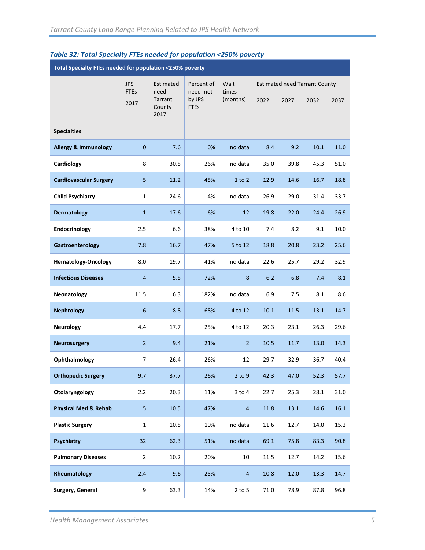| ne ser rotar specially ries necaea for population. Look poverty<br>Total Specialty FTEs needed for population <250% poverty |                     |                                   |                                   |                   |      |                                      |      |      |  |
|-----------------------------------------------------------------------------------------------------------------------------|---------------------|-----------------------------------|-----------------------------------|-------------------|------|--------------------------------------|------|------|--|
|                                                                                                                             | <b>JPS</b>          | Estimated                         | Percent of                        | Wait              |      | <b>Estimated need Tarrant County</b> |      |      |  |
|                                                                                                                             | <b>FTEs</b><br>2017 | need<br>Tarrant<br>County<br>2017 | need met<br>by JPS<br><b>FTEs</b> | times<br>(months) | 2022 | 2027                                 | 2032 | 2037 |  |
| <b>Specialties</b>                                                                                                          |                     |                                   |                                   |                   |      |                                      |      |      |  |
| <b>Allergy &amp; Immunology</b>                                                                                             | $\mathbf{0}$        | 7.6                               | 0%                                | no data           | 8.4  | 9.2                                  | 10.1 | 11.0 |  |
| Cardiology                                                                                                                  | 8                   | 30.5                              | 26%                               | no data           | 35.0 | 39.8                                 | 45.3 | 51.0 |  |
| <b>Cardiovascular Surgery</b>                                                                                               | 5                   | 11.2                              | 45%                               | 1 to 2            | 12.9 | 14.6                                 | 16.7 | 18.8 |  |
| <b>Child Psychiatry</b>                                                                                                     | $\mathbf{1}$        | 24.6                              | 4%                                | no data           | 26.9 | 29.0                                 | 31.4 | 33.7 |  |
| <b>Dermatology</b>                                                                                                          | $\mathbf{1}$        | 17.6                              | 6%                                | 12                | 19.8 | 22.0                                 | 24.4 | 26.9 |  |
| Endocrinology                                                                                                               | 2.5                 | 6.6                               | 38%                               | 4 to 10           | 7.4  | 8.2                                  | 9.1  | 10.0 |  |
| Gastroenterology                                                                                                            | 7.8                 | 16.7                              | 47%                               | 5 to 12           | 18.8 | 20.8                                 | 23.2 | 25.6 |  |
| <b>Hematology-Oncology</b>                                                                                                  | 8.0                 | 19.7                              | 41%                               | no data           | 22.6 | 25.7                                 | 29.2 | 32.9 |  |
| <b>Infectious Diseases</b>                                                                                                  | $\overline{4}$      | 5.5                               | 72%                               | 8                 | 6.2  | 6.8                                  | 7.4  | 8.1  |  |
| Neonatology                                                                                                                 | 11.5                | 6.3                               | 182%                              | no data           | 6.9  | 7.5                                  | 8.1  | 8.6  |  |
| <b>Nephrology</b>                                                                                                           | 6                   | 8.8                               | 68%                               | 4 to 12           | 10.1 | 11.5                                 | 13.1 | 14.7 |  |
| <b>Neurology</b>                                                                                                            | 4.4                 | 17.7                              | 25%                               | 4 to 12           | 20.3 | 23.1                                 | 26.3 | 29.6 |  |
| <b>Neurosurgery</b>                                                                                                         | $\overline{2}$      | 9.4                               | 21%                               | $\overline{2}$    | 10.5 | 11.7                                 | 13.0 | 14.3 |  |
| Ophthalmology                                                                                                               | 7                   | 26.4                              | 26%                               | 12                | 29.7 | 32.9                                 | 36.7 | 40.4 |  |
| <b>Orthopedic Surgery</b>                                                                                                   | 9.7                 | 37.7                              | 26%                               | 2 to 9            | 42.3 | 47.0                                 | 52.3 | 57.7 |  |
| Otolaryngology                                                                                                              | 2.2                 | 20.3                              | 11%                               | $3$ to $4$        | 22.7 | 25.3                                 | 28.1 | 31.0 |  |
| <b>Physical Med &amp; Rehab</b>                                                                                             | 5                   | 10.5                              | 47%                               | $\overline{4}$    | 11.8 | 13.1                                 | 14.6 | 16.1 |  |
| <b>Plastic Surgery</b>                                                                                                      | $\mathbf{1}$        | 10.5                              | 10%                               | no data           | 11.6 | 12.7                                 | 14.0 | 15.2 |  |
| Psychiatry                                                                                                                  | 32                  | 62.3                              | 51%                               | no data           | 69.1 | 75.8                                 | 83.3 | 90.8 |  |
| <b>Pulmonary Diseases</b>                                                                                                   | $\overline{2}$      | 10.2                              | 20%                               | 10                | 11.5 | 12.7                                 | 14.2 | 15.6 |  |
| Rheumatology                                                                                                                | 2.4                 | 9.6                               | 25%                               | $\overline{4}$    | 10.8 | 12.0                                 | 13.3 | 14.7 |  |
| Surgery, General                                                                                                            | 9                   | 63.3                              | 14%                               | $2$ to $5$        | 71.0 | 78.9                                 | 87.8 | 96.8 |  |

#### *Table 32: Total Specialty FTEs needed for population <250% poverty*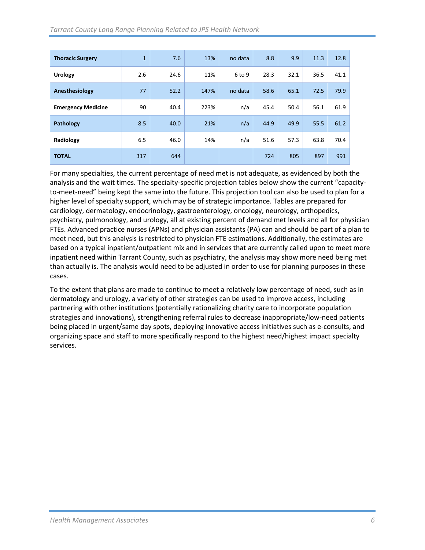| <b>Thoracic Surgery</b>   | $\mathbf{1}$ | 7.6  | 13%  | no data  | 8.8  | 9.9  | 11.3 | 12.8 |
|---------------------------|--------------|------|------|----------|------|------|------|------|
| <b>Urology</b>            | 2.6          | 24.6 | 11%  | $6$ to 9 | 28.3 | 32.1 | 36.5 | 41.1 |
| Anesthesiology            | 77           | 52.2 | 147% | no data  | 58.6 | 65.1 | 72.5 | 79.9 |
| <b>Emergency Medicine</b> | 90           | 40.4 | 223% | n/a      | 45.4 | 50.4 | 56.1 | 61.9 |
| Pathology                 | 8.5          | 40.0 | 21%  | n/a      | 44.9 | 49.9 | 55.5 | 61.2 |
| Radiology                 | 6.5          | 46.0 | 14%  | n/a      | 51.6 | 57.3 | 63.8 | 70.4 |
| <b>TOTAL</b>              | 317          | 644  |      |          | 724  | 805  | 897  | 991  |

For many specialties, the current percentage of need met is not adequate, as evidenced by both the analysis and the wait times. The specialty-specific projection tables below show the current "capacityto-meet-need" being kept the same into the future. This projection tool can also be used to plan for a higher level of specialty support, which may be of strategic importance. Tables are prepared for cardiology, dermatology, endocrinology, gastroenterology, oncology, neurology, orthopedics, psychiatry, pulmonology, and urology, all at existing percent of demand met levels and all for physician FTEs. Advanced practice nurses (APNs) and physician assistants (PA) can and should be part of a plan to meet need, but this analysis is restricted to physician FTE estimations. Additionally, the estimates are based on a typical inpatient/outpatient mix and in services that are currently called upon to meet more inpatient need within Tarrant County, such as psychiatry, the analysis may show more need being met than actually is. The analysis would need to be adjusted in order to use for planning purposes in these cases.

To the extent that plans are made to continue to meet a relatively low percentage of need, such as in dermatology and urology, a variety of other strategies can be used to improve access, including partnering with other institutions (potentially rationalizing charity care to incorporate population strategies and innovations), strengthening referral rules to decrease inappropriate/low-need patients being placed in urgent/same day spots, deploying innovative access initiatives such as e-consults, and organizing space and staff to more specifically respond to the highest need/highest impact specialty services.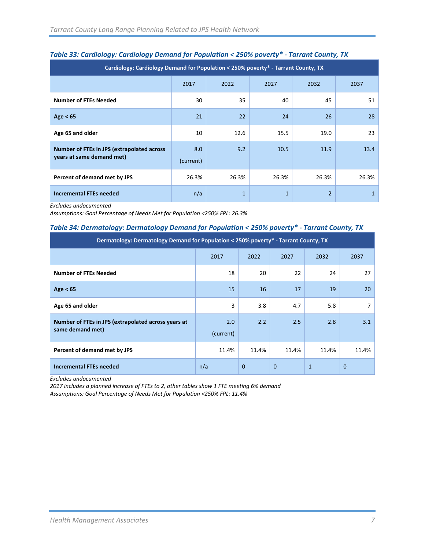| - -<br>Cardiology: Cardiology Demand for Population < 250% poverty* - Tarrant County, TX |                  |              |              |       |              |  |  |  |  |
|------------------------------------------------------------------------------------------|------------------|--------------|--------------|-------|--------------|--|--|--|--|
|                                                                                          | 2017             | 2022         | 2027         | 2032  | 2037         |  |  |  |  |
| <b>Number of FTEs Needed</b>                                                             | 30               | 35           | 40           | 45    | 51           |  |  |  |  |
| Age $< 65$                                                                               | 21               | 22           | 24           | 26    | 28           |  |  |  |  |
| Age 65 and older                                                                         | 10               | 12.6         | 15.5         | 19.0  | 23           |  |  |  |  |
| Number of FTEs in JPS (extrapolated across<br>years at same demand met)                  | 8.0<br>(current) | 9.2          | 10.5         | 11.9  | 13.4         |  |  |  |  |
| Percent of demand met by JPS                                                             | 26.3%            | 26.3%        | 26.3%        | 26.3% | 26.3%        |  |  |  |  |
| <b>Incremental FTEs needed</b>                                                           | n/a              | $\mathbf{1}$ | $\mathbf{1}$ | 2     | $\mathbf{1}$ |  |  |  |  |

### *Table 33: Cardiology: Cardiology Demand for Population < 250% poverty\* - Tarrant County, TX*

*Excludes undocumented* 

*Assumptions: Goal Percentage of Needs Met for Population <250% FPL: 26.3%*

#### *Table 34: Dermatology: Dermatology Demand for Population < 250% poverty\* - Tarrant County, TX*

| Dermatology: Dermatology Demand for Population < 250% poverty* - Tarrant County, TX |           |             |              |              |              |  |  |  |  |
|-------------------------------------------------------------------------------------|-----------|-------------|--------------|--------------|--------------|--|--|--|--|
|                                                                                     | 2017      | 2022        | 2027         | 2032         | 2037         |  |  |  |  |
| <b>Number of FTEs Needed</b>                                                        | 18        | 20          | 22           | 24           | 27           |  |  |  |  |
| Age $< 65$                                                                          | 15        | 16          | 17           | 19           | 20           |  |  |  |  |
| Age 65 and older                                                                    | 3         | 3.8         | 4.7          | 5.8          |              |  |  |  |  |
| Number of FTEs in JPS (extrapolated across years at                                 | 2.0       | 2.2         | 2.5          | 2.8          | 3.1          |  |  |  |  |
| same demand met)                                                                    | (current) |             |              |              |              |  |  |  |  |
| Percent of demand met by JPS                                                        | 11.4%     | 11.4%       | 11.4%        | 11.4%        | 11.4%        |  |  |  |  |
| <b>Incremental FTEs needed</b>                                                      | n/a       | $\mathbf 0$ | $\mathbf{0}$ | $\mathbf{1}$ | $\mathbf{0}$ |  |  |  |  |

*Excludes undocumented*

*2017 includes a planned increase of FTEs to 2, other tables show 1 FTE meeting 6% demand Assumptions: Goal Percentage of Needs Met for Population <250% FPL: 11.4%*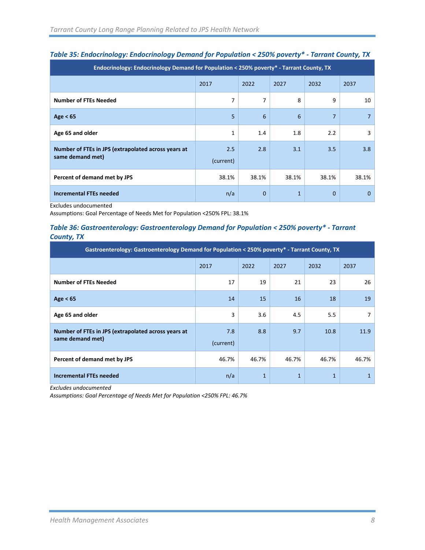| Endocrinology: Endocrinology Demand for Population < 250% poverty* - Tarrant County, TX |                              |              |       |              |                |  |  |  |  |
|-----------------------------------------------------------------------------------------|------------------------------|--------------|-------|--------------|----------------|--|--|--|--|
|                                                                                         | 2017<br>2022<br>2027<br>2032 |              |       |              |                |  |  |  |  |
| <b>Number of FTEs Needed</b>                                                            | 7                            | 7            | 8     | 9            | 10             |  |  |  |  |
| Age $< 65$                                                                              | 5                            | 6            | 6     | 7            | $\overline{7}$ |  |  |  |  |
| Age 65 and older                                                                        | 1                            | 1.4          | 1.8   | 2.2          | 3              |  |  |  |  |
| Number of FTEs in JPS (extrapolated across years at                                     | 2.5                          | 2.8          | 3.1   | 3.5          | 3.8            |  |  |  |  |
| same demand met)                                                                        | (current)                    |              |       |              |                |  |  |  |  |
| Percent of demand met by JPS                                                            | 38.1%                        | 38.1%        | 38.1% | 38.1%        | 38.1%          |  |  |  |  |
| <b>Incremental FTEs needed</b>                                                          | n/a                          | $\mathbf{0}$ | 1     | $\mathbf{0}$ | $\Omega$       |  |  |  |  |

### *Table 35: Endocrinology: Endocrinology Demand for Population < 250% poverty\* - Tarrant County, TX*

Excludes undocumented

Assumptions: Goal Percentage of Needs Met for Population <250% FPL: 38.1%

#### *Table 36: Gastroenterology: Gastroenterology Demand for Population < 250% poverty\* - Tarrant County, TX*

| Gastroenterology: Gastroenterology Demand for Population < $250\%$ poverty* - Tarrant County, TX |           |       |       |       |       |  |  |  |  |
|--------------------------------------------------------------------------------------------------|-----------|-------|-------|-------|-------|--|--|--|--|
|                                                                                                  | 2017      | 2022  | 2027  | 2032  | 2037  |  |  |  |  |
| <b>Number of FTEs Needed</b>                                                                     | 17        | 19    | 21    | 23    | 26    |  |  |  |  |
| Age $< 65$                                                                                       | 14        | 15    | 16    | 18    | 19    |  |  |  |  |
| Age 65 and older                                                                                 | 3         | 3.6   | 4.5   | 5.5   | 7     |  |  |  |  |
| Number of FTEs in JPS (extrapolated across years at                                              | 7.8       | 8.8   | 9.7   | 10.8  | 11.9  |  |  |  |  |
| same demand met)                                                                                 | (current) |       |       |       |       |  |  |  |  |
| Percent of demand met by JPS                                                                     | 46.7%     | 46.7% | 46.7% | 46.7% | 46.7% |  |  |  |  |
| <b>Incremental FTEs needed</b>                                                                   | n/a       | 1     | 1     | 1     |       |  |  |  |  |

*Excludes undocumented*

*Assumptions: Goal Percentage of Needs Met for Population <250% FPL: 46.7%*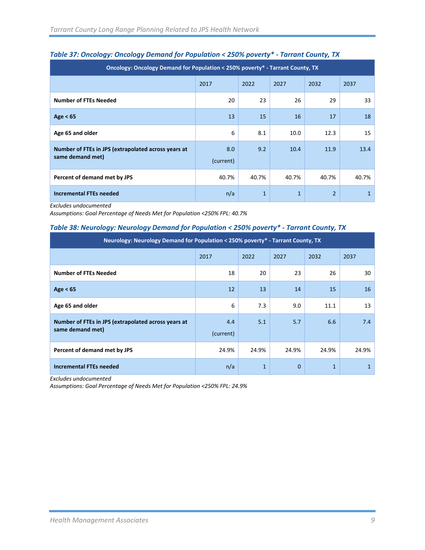| Oncology: Oncology Demand for Population < 250% poverty* - Tarrant County, TX |                  |              |              |                |              |  |  |  |  |  |  |
|-------------------------------------------------------------------------------|------------------|--------------|--------------|----------------|--------------|--|--|--|--|--|--|
| 2022<br>2017<br>2027<br>2032<br>2037                                          |                  |              |              |                |              |  |  |  |  |  |  |
| <b>Number of FTEs Needed</b>                                                  | 20               | 23           | 26           | 29             | 33           |  |  |  |  |  |  |
| Age $< 65$                                                                    | 13               | 15           | 16           | 17             | 18           |  |  |  |  |  |  |
| Age 65 and older                                                              | 6                | 8.1          | 10.0         | 12.3           | 15           |  |  |  |  |  |  |
| Number of FTEs in JPS (extrapolated across years at<br>same demand met)       | 8.0<br>(current) | 9.2          | 10.4         | 11.9           | 13.4         |  |  |  |  |  |  |
| Percent of demand met by JPS                                                  | 40.7%            | 40.7%        | 40.7%        | 40.7%          | 40.7%        |  |  |  |  |  |  |
| <b>Incremental FTEs needed</b>                                                | n/a              | $\mathbf{1}$ | $\mathbf{1}$ | $\overline{2}$ | $\mathbf{1}$ |  |  |  |  |  |  |

#### *Table 37: Oncology: Oncology Demand for Population < 250% poverty\* - Tarrant County, TX*

*Excludes undocumented*

*Assumptions: Goal Percentage of Needs Met for Population <250% FPL: 40.7%*

#### *Table 38: Neurology: Neurology Demand for Population < 250% poverty\* - Tarrant County, TX*

| Neurology: Neurology Demand for Population < 250% poverty* - Tarrant County, TX |           |              |              |       |       |  |  |  |  |
|---------------------------------------------------------------------------------|-----------|--------------|--------------|-------|-------|--|--|--|--|
| 2017<br>2022<br>2027<br>2032                                                    |           |              |              |       |       |  |  |  |  |
| <b>Number of FTEs Needed</b>                                                    | 18        | 20           | 23           | 26    | 30    |  |  |  |  |
| Age $< 65$                                                                      | 12        | 13           | 14           | 15    | 16    |  |  |  |  |
| Age 65 and older                                                                | 6         | 7.3          | 9.0          | 11.1  | 13    |  |  |  |  |
| Number of FTEs in JPS (extrapolated across years at                             | 4.4       | 5.1          | 5.7          | 6.6   | 7.4   |  |  |  |  |
| same demand met)                                                                | (current) |              |              |       |       |  |  |  |  |
| Percent of demand met by JPS                                                    | 24.9%     | 24.9%        | 24.9%        | 24.9% | 24.9% |  |  |  |  |
| <b>Incremental FTEs needed</b>                                                  | n/a       | $\mathbf{1}$ | $\mathbf{0}$ | 1     |       |  |  |  |  |

*Excludes undocumented*

*Assumptions: Goal Percentage of Needs Met for Population <250% FPL: 24.9%*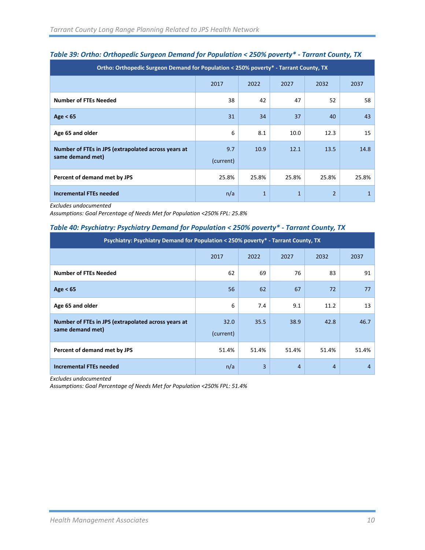| Ortho: Orthopedic Surgeon Demand for Population < 250% poverty* - Tarrant County, TX |           |              |              |                |              |  |  |  |  |  |
|--------------------------------------------------------------------------------------|-----------|--------------|--------------|----------------|--------------|--|--|--|--|--|
| 2017<br>2022<br>2027<br>2032                                                         |           |              |              |                |              |  |  |  |  |  |
| <b>Number of FTEs Needed</b>                                                         | 38        | 42           | 47           | 52             | 58           |  |  |  |  |  |
| Age $< 65$                                                                           | 31        | 34           | 37           | 40             | 43           |  |  |  |  |  |
| Age 65 and older                                                                     | 6         | 8.1          | 10.0         | 12.3           | 15           |  |  |  |  |  |
| Number of FTEs in JPS (extrapolated across years at<br>same demand met)              | 9.7       | 10.9         | 12.1         | 13.5           | 14.8         |  |  |  |  |  |
|                                                                                      | (current) |              |              |                |              |  |  |  |  |  |
| Percent of demand met by JPS                                                         | 25.8%     | 25.8%        | 25.8%        | 25.8%          | 25.8%        |  |  |  |  |  |
| <b>Incremental FTEs needed</b>                                                       | n/a       | $\mathbf{1}$ | $\mathbf{1}$ | $\overline{2}$ | $\mathbf{1}$ |  |  |  |  |  |

#### *Table 39: Ortho: Orthopedic Surgeon Demand for Population < 250% poverty\* - Tarrant County, TX*

*Excludes undocumented*

*Assumptions: Goal Percentage of Needs Met for Population <250% FPL: 25.8%*

#### *Table 40: Psychiatry: Psychiatry Demand for Population < 250% poverty\* - Tarrant County, TX*

| Psychiatry: Psychiatry Demand for Population < 250% poverty* - Tarrant County, TX |           |       |                |       |       |  |  |  |  |  |  |
|-----------------------------------------------------------------------------------|-----------|-------|----------------|-------|-------|--|--|--|--|--|--|
| 2022<br>2027<br>2032<br>2017                                                      |           |       |                |       |       |  |  |  |  |  |  |
| <b>Number of FTEs Needed</b>                                                      | 62        | 69    | 76             | 83    | 91    |  |  |  |  |  |  |
| Age $< 65$                                                                        | 56        | 62    | 67             | 72    | 77    |  |  |  |  |  |  |
| Age 65 and older                                                                  | 6         | 7.4   | 9.1            | 11.2  | 13    |  |  |  |  |  |  |
| Number of FTEs in JPS (extrapolated across years at                               | 32.0      | 35.5  | 38.9           | 42.8  | 46.7  |  |  |  |  |  |  |
| same demand met)                                                                  | (current) |       |                |       |       |  |  |  |  |  |  |
| Percent of demand met by JPS                                                      | 51.4%     | 51.4% | 51.4%          | 51.4% | 51.4% |  |  |  |  |  |  |
| <b>Incremental FTEs needed</b>                                                    | n/a       | 3     | $\overline{4}$ | 4     | 4     |  |  |  |  |  |  |

*Excludes undocumented*

*Assumptions: Goal Percentage of Needs Met for Population <250% FPL: 51.4%*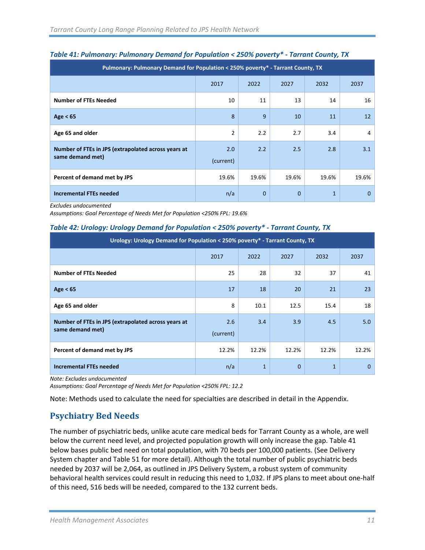| Pulmonary: Pulmonary Demand for Population < 250% poverty* - Tarrant County, TX |                  |              |              |              |              |  |  |  |  |  |
|---------------------------------------------------------------------------------|------------------|--------------|--------------|--------------|--------------|--|--|--|--|--|
| 2017<br>2022<br>2027<br>2032<br>2037                                            |                  |              |              |              |              |  |  |  |  |  |
| <b>Number of FTEs Needed</b>                                                    | 10               | 11           | 13           | 14           | 16           |  |  |  |  |  |
| Age $< 65$                                                                      | 8                | 9            | 10           | 11           | 12           |  |  |  |  |  |
| Age 65 and older                                                                | $\overline{2}$   | 2.2          | 2.7          | 3.4          | 4            |  |  |  |  |  |
| Number of FTEs in JPS (extrapolated across years at<br>same demand met)         | 2.0<br>(current) | 2.2          | 2.5          | 2.8          | 3.1          |  |  |  |  |  |
| Percent of demand met by JPS                                                    | 19.6%            | 19.6%        | 19.6%        | 19.6%        | 19.6%        |  |  |  |  |  |
| <b>Incremental FTEs needed</b>                                                  | n/a              | $\mathbf{0}$ | $\mathbf{0}$ | $\mathbf{1}$ | $\mathbf{0}$ |  |  |  |  |  |

#### *Table 41: Pulmonary: Pulmonary Demand for Population < 250% poverty\* - Tarrant County, TX*

*Excludes undocumented*

*Assumptions: Goal Percentage of Needs Met for Population <250% FPL: 19.6%*

#### *Table 42: Urology: Urology Demand for Population < 250% poverty\* - Tarrant County, TX*

| Urology: Urology Demand for Population < 250% poverty* - Tarrant County, TX |           |              |              |       |          |  |  |  |  |  |  |
|-----------------------------------------------------------------------------|-----------|--------------|--------------|-------|----------|--|--|--|--|--|--|
| 2017<br>2022<br>2027<br>2032<br>2037                                        |           |              |              |       |          |  |  |  |  |  |  |
| <b>Number of FTEs Needed</b>                                                | 25        | 28           | 32           | 37    | 41       |  |  |  |  |  |  |
| Age $< 65$                                                                  | 17        | 18           | 20           | 21    | 23       |  |  |  |  |  |  |
| Age 65 and older                                                            | 8         | 10.1         | 12.5         | 15.4  | 18       |  |  |  |  |  |  |
| Number of FTEs in JPS (extrapolated across years at                         | 2.6       | 3.4          | 3.9          | 4.5   | 5.0      |  |  |  |  |  |  |
| same demand met)                                                            | (current) |              |              |       |          |  |  |  |  |  |  |
| Percent of demand met by JPS                                                | 12.2%     | 12.2%        | 12.2%        | 12.2% | 12.2%    |  |  |  |  |  |  |
| <b>Incremental FTEs needed</b>                                              | n/a       | $\mathbf{1}$ | $\mathbf{0}$ | 1     | $\Omega$ |  |  |  |  |  |  |

*Note: Excludes undocumented*

*Assumptions: Goal Percentage of Needs Met for Population <250% FPL: 12.2*

Note: Methods used to calculate the need for specialties are described in detail in the Appendix.

### <span id="page-12-0"></span>**Psychiatry Bed Needs**

The number of psychiatric beds, unlike acute care medical beds for Tarrant County as a whole, are well below the current need level, and projected population growth will only increase the gap. Table 41 below bases public bed need on total population, with 70 beds per 100,000 patients. (See Delivery System chapter and Table 51 for more detail). Although the total number of public psychiatric beds needed by 2037 will be 2,064, as outlined in JPS Delivery System, a robust system of community behavioral health services could result in reducing this need to 1,032. If JPS plans to meet about one-half of this need, 516 beds will be needed, compared to the 132 current beds.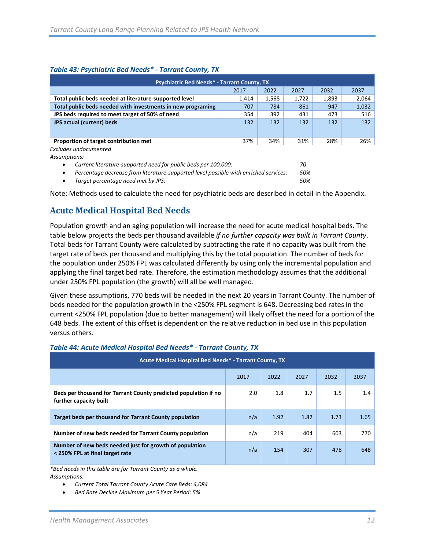#### *Table 43: Psychiatric Bed Needs\* - Tarrant County, TX*

| <b>Psychiatric Bed Needs* - Tarrant County, TX</b>          |       |       |       |       |       |  |  |  |  |  |
|-------------------------------------------------------------|-------|-------|-------|-------|-------|--|--|--|--|--|
|                                                             | 2017  | 2022  | 2027  | 2032  | 2037  |  |  |  |  |  |
| Total public beds needed at literature-supported level      | 1,414 | 1,568 | 1,722 | 1,893 | 2,064 |  |  |  |  |  |
| Total public beds needed with investments in new programing | 707   | 784   | 861   | 947   | 1,032 |  |  |  |  |  |
| JPS beds required to meet target of 50% of need             | 354   | 392   | 431   | 473   | 516   |  |  |  |  |  |
| <b>JPS actual (current) beds</b>                            | 132   | 132   | 132   | 132   | 132   |  |  |  |  |  |
|                                                             |       |       |       |       |       |  |  |  |  |  |
| Proportion of target contribution met                       | 37%   | 34%   | 31%   | 28%   | 26%   |  |  |  |  |  |
| Excludes undocumented                                       |       |       |       |       |       |  |  |  |  |  |
| Assumptions:                                                |       |       |       |       |       |  |  |  |  |  |

• *Current literature-supported need for public beds per 100,000: 70*

• *Percentage decrease from literature-supported level possible with enriched services: 50%*

• *Target percentage need met by JPS: 50%*

Note: Methods used to calculate the need for psychiatric beds are described in detail in the Appendix.

### <span id="page-13-0"></span>**Acute Medical Hospital Bed Needs**

Population growth and an aging population will increase the need for acute medical hospital beds. The table below projects the beds per thousand available *if no further capacity was built in Tarrant County*. Total beds for Tarrant County were calculated by subtracting the rate if no capacity was built from the target rate of beds per thousand and multiplying this by the total population. The number of beds for the population under 250% FPL was calculated differently by using only the incremental population and applying the final target bed rate. Therefore, the estimation methodology assumes that the additional under 250% FPL population (the growth) will all be well managed.

Given these assumptions, 770 beds will be needed in the next 20 years in Tarrant County. The number of beds needed for the population growth in the <250% FPL segment is 648. Decreasing bed rates in the current <250% FPL population (due to better management) will likely offset the need for a portion of the 648 beds. The extent of this offset is dependent on the relative reduction in bed use in this population versus others.

| Acute Medical Hospital Bed Needs* - Tarrant County, TX                                     |     |      |      |      |      |  |  |  |  |  |
|--------------------------------------------------------------------------------------------|-----|------|------|------|------|--|--|--|--|--|
| 2022<br>2017<br>2027<br>2032<br>2037                                                       |     |      |      |      |      |  |  |  |  |  |
| Beds per thousand for Tarrant County predicted population if no<br>further capacity built  | 2.0 | 1.8  | 1.7  | 1.5  | 1.4  |  |  |  |  |  |
| Target beds per thousand for Tarrant County population                                     | n/a | 1.92 | 1.82 | 1.73 | 1.65 |  |  |  |  |  |
| Number of new beds needed for Tarrant County population                                    | n/a | 219  | 404  | 603  | 770  |  |  |  |  |  |
| Number of new beds needed just for growth of population<br>< 250% FPL at final target rate | n/a | 154  | 307  | 478  | 648  |  |  |  |  |  |

#### *Table 44: Acute Medical Hospital Bed Needs\* - Tarrant County, TX*

*\*Bed needs in this table are for Tarrant County as a whole. Assumptions:*

- *Current Total Tarrant County Acute Care Beds: 4,084*
- *Bed Rate Decline Maximum per 5 Year Period: 5%*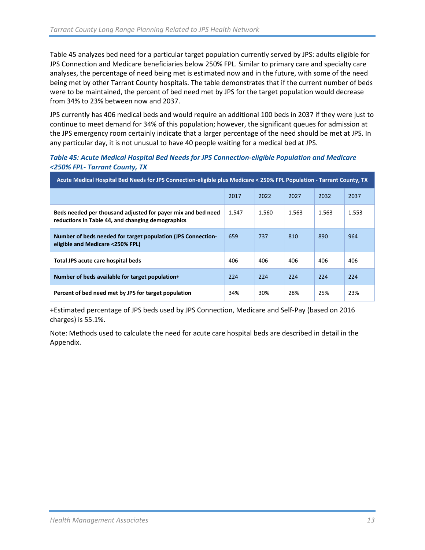Table 45 analyzes bed need for a particular target population currently served by JPS: adults eligible for JPS Connection and Medicare beneficiaries below 250% FPL. Similar to primary care and specialty care analyses, the percentage of need being met is estimated now and in the future, with some of the need being met by other Tarrant County hospitals. The table demonstrates that if the current number of beds were to be maintained, the percent of bed need met by JPS for the target population would decrease from 34% to 23% between now and 2037.

JPS currently has 406 medical beds and would require an additional 100 beds in 2037 if they were just to continue to meet demand for 34% of this population; however, the significant queues for admission at the JPS emergency room certainly indicate that a larger percentage of the need should be met at JPS. In any particular day, it is not unusual to have 40 people waiting for a medical bed at JPS.

#### *Table 45: Acute Medical Hospital Bed Needs for JPS Connection-eligible Population and Medicare <250% FPL- Tarrant County, TX*

| Acute Medical Hospital Bed Needs for JPS Connection-eligible plus Medicare < 250% FPL Population - Tarrant County, TX |       |       |       |       |       |  |  |  |  |
|-----------------------------------------------------------------------------------------------------------------------|-------|-------|-------|-------|-------|--|--|--|--|
|                                                                                                                       | 2017  | 2022  | 2027  | 2032  | 2037  |  |  |  |  |
| Beds needed per thousand adjusted for payer mix and bed need<br>reductions in Table 44, and changing demographics     | 1.547 | 1.560 | 1.563 | 1.563 | 1.553 |  |  |  |  |
| Number of beds needed for target population (JPS Connection-<br>eligible and Medicare <250% FPL)                      | 659   | 737   | 810   | 890   | 964   |  |  |  |  |
| Total JPS acute care hospital beds                                                                                    | 406   | 406   | 406   | 406   | 406   |  |  |  |  |
| Number of beds available for target population+                                                                       | 224   | 224   | 224   | 224   | 224   |  |  |  |  |
| Percent of bed need met by JPS for target population                                                                  | 34%   | 30%   | 28%   | 25%   | 23%   |  |  |  |  |

+Estimated percentage of JPS beds used by JPS Connection, Medicare and Self-Pay (based on 2016 charges) is 55.1%.

Note: Methods used to calculate the need for acute care hospital beds are described in detail in the Appendix.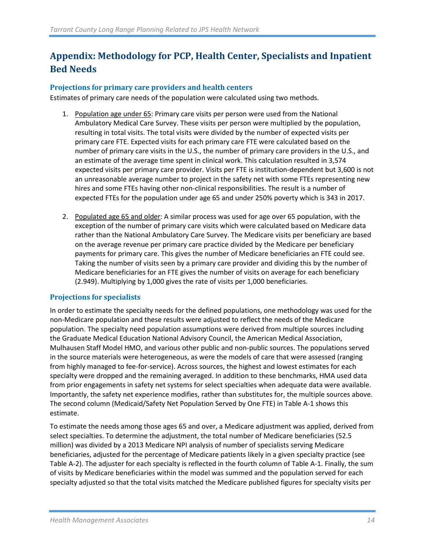# <span id="page-15-0"></span>**Appendix: Methodology for PCP, Health Center, Specialists and Inpatient Bed Needs**

#### <span id="page-15-1"></span>**Projections for primary care providers and health centers**

Estimates of primary care needs of the population were calculated using two methods.

- 1. Population age under 65: Primary care visits per person were used from the National Ambulatory Medical Care Survey. These visits per person were multiplied by the population, resulting in total visits. The total visits were divided by the number of expected visits per primary care FTE. Expected visits for each primary care FTE were calculated based on the number of primary care visits in the U.S., the number of primary care providers in the U.S., and an estimate of the average time spent in clinical work. This calculation resulted in 3,574 expected visits per primary care provider. Visits per FTE is institution-dependent but 3,600 is not an unreasonable average number to project in the safety net with some FTEs representing new hires and some FTEs having other non-clinical responsibilities. The result is a number of expected FTEs for the population under age 65 and under 250% poverty which is 343 in 2017.
- 2. Populated age 65 and older: A similar process was used for age over 65 population, with the exception of the number of primary care visits which were calculated based on Medicare data rather than the National Ambulatory Care Survey. The Medicare visits per beneficiary are based on the average revenue per primary care practice divided by the Medicare per beneficiary payments for primary care. This gives the number of Medicare beneficiaries an FTE could see. Taking the number of visits seen by a primary care provider and dividing this by the number of Medicare beneficiaries for an FTE gives the number of visits on average for each beneficiary (2.949). Multiplying by 1,000 gives the rate of visits per 1,000 beneficiaries.

#### <span id="page-15-2"></span>**Projections for specialists**

In order to estimate the specialty needs for the defined populations, one methodology was used for the non-Medicare population and these results were adjusted to reflect the needs of the Medicare population. The specialty need population assumptions were derived from multiple sources including the Graduate Medical Education National Advisory Council, the American Medical Association, Mulhausen Staff Model HMO, and various other public and non-public sources. The populations served in the source materials were heterogeneous, as were the models of care that were assessed (ranging from highly managed to fee-for-service). Across sources, the highest and lowest estimates for each specialty were dropped and the remaining averaged. In addition to these benchmarks, HMA used data from prior engagements in safety net systems for select specialties when adequate data were available. Importantly, the safety net experience modifies, rather than substitutes for, the multiple sources above. The second column (Medicaid/Safety Net Population Served by One FTE) in Table A-1 shows this estimate.

To estimate the needs among those ages 65 and over, a Medicare adjustment was applied, derived from select specialties. To determine the adjustment, the total number of Medicare beneficiaries (52.5 million) was divided by a 2013 Medicare NPI analysis of number of specialists serving Medicare beneficiaries, adjusted for the percentage of Medicare patients likely in a given specialty practice (see Table A-2). The adjuster for each specialty is reflected in the fourth column of Table A-1. Finally, the sum of visits by Medicare beneficiaries within the model was summed and the population served for each specialty adjusted so that the total visits matched the Medicare published figures for specialty visits per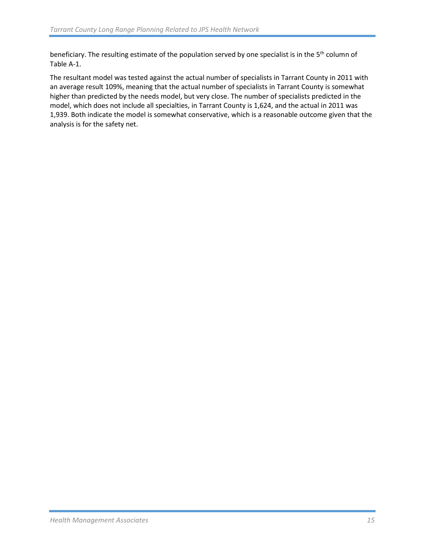beneficiary. The resulting estimate of the population served by one specialist is in the 5<sup>th</sup> column of Table A-1.

The resultant model was tested against the actual number of specialists in Tarrant County in 2011 with an average result 109%, meaning that the actual number of specialists in Tarrant County is somewhat higher than predicted by the needs model, but very close. The number of specialists predicted in the model, which does not include all specialties, in Tarrant County is 1,624, and the actual in 2011 was 1,939. Both indicate the model is somewhat conservative, which is a reasonable outcome given that the analysis is for the safety net.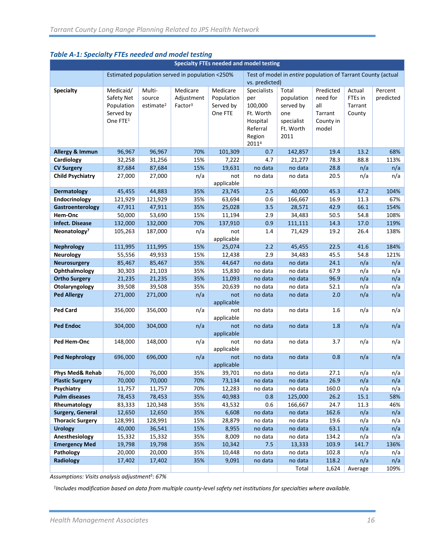| Specialty FTEs needed and model testing |                      |                       |                                                 |                   |                |                                                              |              |              |              |
|-----------------------------------------|----------------------|-----------------------|-------------------------------------------------|-------------------|----------------|--------------------------------------------------------------|--------------|--------------|--------------|
|                                         |                      |                       | Estimated population served in population <250% |                   |                | Test of model in entire population of Tarrant County (actual |              |              |              |
|                                         |                      |                       |                                                 |                   | vs. predicted) |                                                              |              |              |              |
| <b>Specialty</b>                        | Medicaid/            | Multi-                | Medicare                                        | Medicare          | Specialists    | Total                                                        | Predicted    | Actual       | Percent      |
|                                         | Safety Net           | source                | Adjustment                                      | Population        | per            | population                                                   | need for     | FTEs in      | predicted    |
|                                         | Population           | estimate <sup>2</sup> | Factor <sup>3</sup>                             | Served by         | 100,000        | served by                                                    | all          | Tarrant      |              |
|                                         | Served by            |                       |                                                 | One FTE           | Ft. Worth      | one                                                          | Tarrant      | County       |              |
|                                         | One FTE <sup>1</sup> |                       |                                                 |                   | Hospital       | specialist                                                   | County in    |              |              |
|                                         |                      |                       |                                                 |                   | Referral       | Ft. Worth                                                    | model        |              |              |
|                                         |                      |                       |                                                 |                   | Region         | 2011                                                         |              |              |              |
|                                         |                      |                       |                                                 |                   | 20114          |                                                              |              |              |              |
| <b>Allergy &amp; Immun</b>              | 96,967               | 96,967                | 70%                                             | 101,309           | 0.7            | 142,857                                                      | 19.4         | 13.2         | 68%          |
| Cardiology                              | 32,258               | 31,256                | 15%                                             | 7,222             | 4.7            | 21,277                                                       | 78.3         | 88.8         | 113%         |
| <b>CV Surgery</b>                       | 87,684               | 87,684                | 15%                                             | 19,631            | no data        | no data                                                      | 28.8         | n/a          | n/a          |
| <b>Child Psychiatry</b>                 | 27,000               | 27,000                | n/a                                             | not               | no data        | no data                                                      | 20.5         | n/a          | n/a          |
|                                         |                      |                       |                                                 | applicable        |                |                                                              |              |              |              |
| <b>Dermatology</b>                      | 45,455               | 44,883                | 35%                                             | 23,745            | 2.5            | 40,000                                                       | 45.3         | 47.2         | 104%         |
| Endocrinology                           | 121,929              | 121,929               | 35%                                             | 63,694<br>25,028  | 0.6            | 166,667                                                      | 16.9         | 11.3         | 67%          |
| Gastroenterology<br>Hem-Onc             | 47,911<br>50,000     | 47,911<br>53,690      | 35%<br>15%                                      | 11,194            | 3.5<br>2.9     | 28,571<br>34,483                                             | 42.9<br>50.5 | 66.1<br>54.8 | 154%<br>108% |
| <b>Infect. Disease</b>                  | 132,000              | 132,000               | 70%                                             | 137,910           | 0.9            | 111,111                                                      | 14.3         | 17.0         | 119%         |
| Neonatology <sup>7</sup>                | 105,263              | 187,000               | n/a                                             | not               | 1.4            | 71,429                                                       | 19.2         | 26.4         | 138%         |
|                                         |                      |                       |                                                 | applicable        |                |                                                              |              |              |              |
| <b>Nephrology</b>                       | 111,995              | 111,995               | 15%                                             | 25,074            | 2.2            | 45,455                                                       | 22.5         | 41.6         | 184%         |
| <b>Neurology</b>                        | 55,556               | 49,933                | 15%                                             | 12,438            | 2.9            | 34,483                                                       | 45.5         | 54.8         | 121%         |
| <b>Neurosurgery</b>                     | 85,467               | 85,467                | 35%                                             | 44,647            | no data        | no data                                                      | 24.1         | n/a          | n/a          |
| Ophthalmology                           | 30,303               | 21,103                | 35%                                             | 15,830            | no data        | no data                                                      | 67.9         | n/a          | n/a          |
| <b>Ortho Surgery</b>                    | 21,235               | 21,235                | 35%                                             | 11,093            | no data        | no data                                                      | 96.9         | n/a          | n/a          |
| Otolaryngology                          | 39,508               | 39,508                | 35%                                             | 20,639            | no data        | no data                                                      | 52.1         | n/a          | n/a          |
| <b>Ped Allergy</b>                      | 271,000              | 271,000               | n/a                                             | not               | no data        | no data                                                      | 2.0          | n/a          | n/a          |
|                                         |                      |                       |                                                 | applicable        |                |                                                              |              |              |              |
| <b>Ped Card</b>                         | 356,000              | 356,000               | n/a                                             | not               | no data        | no data                                                      | 1.6          | n/a          | n/a          |
|                                         |                      |                       |                                                 | applicable        |                |                                                              |              |              |              |
| <b>Ped Endoc</b>                        | 304,000              | 304,000               | n/a                                             | not               | no data        | no data                                                      | 1.8          | n/a          | n/a          |
|                                         |                      |                       |                                                 | applicable        |                |                                                              |              |              |              |
| Ped Hem-Onc                             | 148,000              | 148,000               | n/a                                             | not               | no data        | no data                                                      | 3.7          | n/a          | n/a          |
| <b>Ped Nephrology</b>                   |                      | 696,000               |                                                 | applicable        |                |                                                              |              |              |              |
|                                         | 696,000              |                       | n/a                                             | not<br>applicable | no data        | no data                                                      | 0.8          | n/a          | n/a          |
| Phys Med& Rehab                         | 76,000               | 76,000                | 35%                                             | 39,701            | no data        | no data                                                      | 27.1         | n/a          | n/a          |
| <b>Plastic Surgery</b>                  | 70,000               | 70,000                | 70%                                             | 73,134            | no data        | no data                                                      | 26.9         | n/a          | n/a          |
| Psychiatry                              | 11,757               | 11,757                | 70%                                             | 12,283            | no data        | no data                                                      | 160.0        | n/a          | n/a          |
| <b>Pulm diseases</b>                    | 78,453               | 78,453                | 35%                                             | 40,983            | 0.8            | 125,000                                                      | 26.2         | 15.1         | 58%          |
| Rheumatology                            | 83,333               | 120,348               | 35%                                             | 43,532            | 0.6            | 166,667                                                      | 24.7         | 11.3         | 46%          |
| Surgery, General                        | 12,650               | 12,650                | 35%                                             | 6,608             | no data        | no data                                                      | 162.6        | n/a          | n/a          |
| <b>Thoracic Surgery</b>                 | 128,991              | 128,991               | 15%                                             | 28,879            | no data        | no data                                                      | 19.6         | n/a          | n/a          |
| <b>Urology</b>                          | 40,000               | 36,541                | 15%                                             | 8,955             | no data        | no data                                                      | 63.1         | n/a          | n/a          |
| Anesthesiology                          | 15,332               | 15,332                | 35%                                             | 8,009             | no data        | no data                                                      | 134.2        | n/a          | n/a          |
| <b>Emergency Med</b>                    | 19,798               | 19,798                | 35%                                             | 10,342            | 7.5            | 13,333                                                       | 103.9        | 141.7        | 136%         |
| Pathology                               | 20,000               | 20,000                | 35%                                             | 10,448            | no data        | no data                                                      | 102.8        | n/a          | n/a          |
| Radiology                               | 17,402               | 17,402                | 35%                                             | 9,091             | no data        | no data                                                      | 118.2        | n/a          | n/a          |
|                                         |                      |                       |                                                 |                   |                | Total                                                        | 1,624        | Average      | 109%         |

#### *Table A-1: Specialty FTEs needed and model testing*

*Assumptions: Visits analysis adjustment5: 67%*

*1Includes modification based on data from multiple county-level safety net institutions for specialties where available.*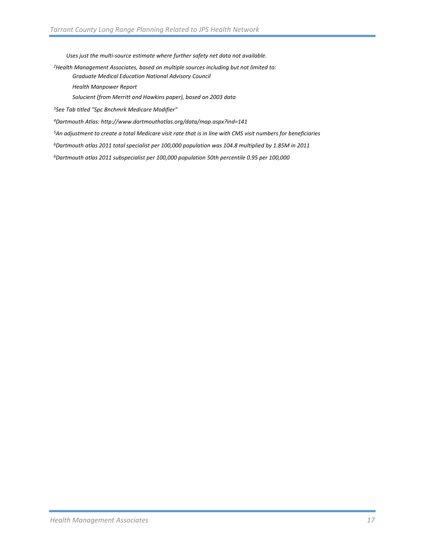*Uses just the multi-source estimate where further safety net data not available.* 

*2Health Management Associates, based on multiple sources including but not limited to:*

*Graduate Medical Education National Advisory Council*

*Health Manpower Report* 

*Solucient (from Merritt and Hawkins paper), based on 2003 data*

*3See Tab titled "Spc Bnchmrk Medicare Modifier"*

*4Dartmouth Atlas: http://www.dartmouthatlas.org/data/map.aspx?ind=141*

*5An adjustment to create a total Medicare visit rate that is in line with CMS visit numbers for beneficiaries*

*6Dartmouth atlas 2011 total specialist per 100,000 population was 104.8 multiplied by 1.85M in 2011*

*6Dartmouth atlas 2011 subspecialist per 100,000 population 50th percentile 0.95 per 100,000*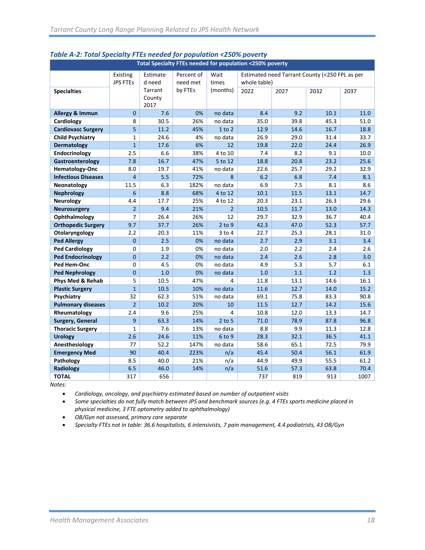| Total Specialty FTEs needed for population <250% poverty |                 |          |            |                |                                                |      |      |      |
|----------------------------------------------------------|-----------------|----------|------------|----------------|------------------------------------------------|------|------|------|
|                                                          | Existing        | Estimate | Percent of | Wait           | Estimated need Tarrant County (<250 FPL as per |      |      |      |
|                                                          | <b>JPS FTEs</b> | d need   | need met   | times          | whole table)                                   |      |      |      |
| <b>Specialties</b>                                       |                 | Tarrant  | by FTEs    | (months)       | 2022                                           | 2027 | 2032 | 2037 |
|                                                          |                 | County   |            |                |                                                |      |      |      |
|                                                          |                 | 2017     |            |                |                                                |      |      |      |
| Allergy & Immun                                          | $\mathbf{0}$    | 7.6      | 0%         | no data        | 8.4                                            | 9.2  | 10.1 | 11.0 |
| Cardiology                                               | 8               | 30.5     | 26%        | no data        | 35.0                                           | 39.8 | 45.3 | 51.0 |
| <b>Cardiovasc Surgery</b>                                | 5               | 11.2     | 45%        | 1 to 2         | 12.9                                           | 14.6 | 16.7 | 18.8 |
| <b>Child Psychiatry</b>                                  | $\mathbf{1}$    | 24.6     | 4%         | no data        | 26.9                                           | 29.0 | 31.4 | 33.7 |
| Dermatology                                              | $\mathbf{1}$    | 17.6     | 6%         | 12             | 19.8                                           | 22.0 | 24.4 | 26.9 |
| Endocrinology                                            | 2.5             | 6.6      | 38%        | 4 to 10        | 7.4                                            | 8.2  | 9.1  | 10.0 |
| Gastroenterology                                         | 7.8             | 16.7     | 47%        | 5 to 12        | 18.8                                           | 20.8 | 23.2 | 25.6 |
| Hematology-Onc                                           | 8.0             | 19.7     | 41%        | no data        | 22.6                                           | 25.7 | 29.2 | 32.9 |
| <b>Infectious Diseases</b>                               | $\overline{4}$  | 5.5      | 72%        | 8              | 6.2                                            | 6.8  | 7.4  | 8.1  |
| Neonatology                                              | 11.5            | 6.3      | 182%       | no data        | 6.9                                            | 7.5  | 8.1  | 8.6  |
| <b>Nephrology</b>                                        | 6               | 8.8      | 68%        | 4 to 12        | 10.1                                           | 11.5 | 13.1 | 14.7 |
| <b>Neurology</b>                                         | 4.4             | 17.7     | 25%        | 4 to 12        | 20.3                                           | 23.1 | 26.3 | 29.6 |
| <b>Neurosurgery</b>                                      | $\overline{2}$  | 9.4      | 21%        | $\overline{2}$ | 10.5                                           | 11.7 | 13.0 | 14.3 |
| Ophthalmology                                            | $\overline{7}$  | 26.4     | 26%        | 12             | 29.7                                           | 32.9 | 36.7 | 40.4 |
| <b>Orthopedic Surgery</b>                                | 9.7             | 37.7     | 26%        | $2$ to $9$     | 42.3                                           | 47.0 | 52.3 | 57.7 |
| Otolaryngology                                           | 2.2             | 20.3     | 11%        | $3$ to $4$     | 22.7                                           | 25.3 | 28.1 | 31.0 |
| <b>Ped Allergy</b>                                       | $\overline{0}$  | 2.5      | 0%         | no data        | 2.7                                            | 2.9  | 3.1  | 3.4  |
| <b>Ped Cardiology</b>                                    | 0               | 1.9      | 0%         | no data        | 2.0                                            | 2.2  | 2.4  | 2.6  |
| <b>Ped Endocrinology</b>                                 | $\mathbf{0}$    | 2.2      | 0%         | no data        | 2.4                                            | 2.6  | 2.8  | 3.0  |
| Ped Hem-Onc                                              | 0               | 4.5      | 0%         | no data        | 4.9                                            | 5.3  | 5.7  | 6.1  |
| <b>Ped Nephrology</b>                                    | $\overline{0}$  | 1.0      | 0%         | no data        | 1.0                                            | 1.1  | 1.2  | 1.3  |
| Phys Med & Rehab                                         | 5               | 10.5     | 47%        | 4              | 11.8                                           | 13.1 | 14.6 | 16.1 |
| <b>Plastic Surgery</b>                                   | $\overline{1}$  | 10.5     | 10%        | no data        | 11.6                                           | 12.7 | 14.0 | 15.2 |
| Psychiatry                                               | 32              | 62.3     | 51%        | no data        | 69.1                                           | 75.8 | 83.3 | 90.8 |
| <b>Pulmonary diseases</b>                                | $\overline{2}$  | 10.2     | 20%        | 10             | 11.5                                           | 12.7 | 14.2 | 15.6 |
| Rheumatology                                             | 2.4             | 9.6      | 25%        | 4              | 10.8                                           | 12.0 | 13.3 | 14.7 |
| Surgery, General                                         | 9               | 63.3     | 14%        | $2$ to 5       | 71.0                                           | 78.9 | 87.8 | 96.8 |
| <b>Thoracic Surgery</b>                                  | $\mathbf{1}$    | 7.6      | 13%        | no data        | 8.8                                            | 9.9  | 11.3 | 12.8 |
| <b>Urology</b>                                           | 2.6             | 24.6     | 11%        | $6$ to $9$     | 28.3                                           | 32.1 | 36.5 | 41.1 |
| Anesthesiology                                           | 77              | 52.2     | 147%       | no data        | 58.6                                           | 65.1 | 72.5 | 79.9 |
| <b>Emergency Med</b>                                     | 90              | 40.4     | 223%       | n/a            | 45.4                                           | 50.4 | 56.1 | 61.9 |
| Pathology                                                | 8.5             | 40.0     | 21%        | n/a            | 44.9                                           | 49.9 | 55.5 | 61.2 |
| <b>Radiology</b>                                         | 6.5             | 46.0     | 14%        | n/a            | 51.6                                           | 57.3 | 63.8 | 70.4 |
| <b>TOTAL</b>                                             | 317             | 656      |            |                | 737                                            | 819  | 913  | 1007 |

#### *Table A-2: Total Specialty FTEs needed for population <250% poverty*

*Notes:* 

• *Cardiology, oncology, and psychiatry estimated based on number of outpatient visits*

• *Some specialties do not fully match between JPS and benchmark sources (e.g. 4 FTEs sports medicine placed in physical medicine, 3 FTE optometry added to ophthalmology)*

• *OB/Gyn not assessed, primary care separate*

• *Specialty FTEs not in table: 36.6 hospitalists, 6 intensivists, 7 pain management, 4.4 podiatrists, 43 OB/Gyn*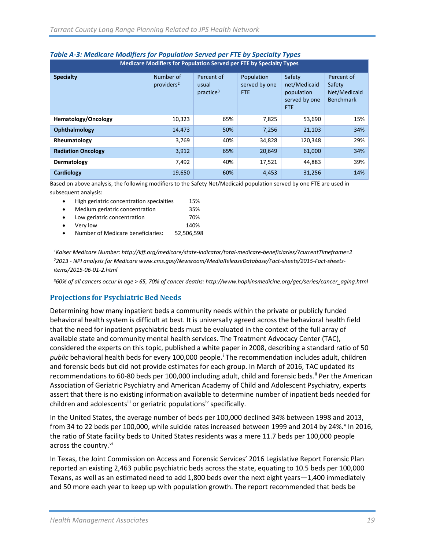| Medicare Modifiers for Population Served per FTE by Specialty Types |                                     |                                              |                                     |                                                                     |                                                          |  |  |  |  |
|---------------------------------------------------------------------|-------------------------------------|----------------------------------------------|-------------------------------------|---------------------------------------------------------------------|----------------------------------------------------------|--|--|--|--|
| <b>Specialty</b>                                                    | Number of<br>providers <sup>2</sup> | Percent of<br>usual<br>practive <sup>3</sup> | Population<br>served by one<br>FTE. | Safety<br>net/Medicaid<br>population<br>served by one<br><b>FTE</b> | Percent of<br>Safety<br>Net/Medicaid<br><b>Benchmark</b> |  |  |  |  |
| Hematology/Oncology                                                 | 10,323                              | 65%                                          | 7,825                               | 53,690                                                              | 15%                                                      |  |  |  |  |
| Ophthalmology                                                       | 14,473                              | 50%                                          | 7,256                               | 21,103                                                              | 34%                                                      |  |  |  |  |
| Rheumatology                                                        | 3,769                               | 40%                                          | 34,828                              | 120,348                                                             | 29%                                                      |  |  |  |  |
| <b>Radiation Oncology</b>                                           | 3,912                               | 65%                                          | 20,649                              | 61,000                                                              | 34%                                                      |  |  |  |  |
| Dermatology                                                         | 7,492                               | 40%                                          | 17,521                              | 44,883                                                              | 39%                                                      |  |  |  |  |
| Cardiology                                                          | 19,650                              | 60%                                          | 4,453                               | 31,256                                                              | 14%                                                      |  |  |  |  |

#### *Table A-3: Medicare Modifiers for Population Served per FTE by Specialty Types*

Based on above analysis, the following modifiers to the Safety Net/Medicaid population served by one FTE are used in subsequent analysis:

| $\bullet$ | High geriatric concentration specialties | 15%        |
|-----------|------------------------------------------|------------|
| $\bullet$ | Medium geriatric concentration           | 35%        |
| $\bullet$ | Low geriatric concentration              | 70%        |
|           | Very low                                 | 140%       |
|           | Number of Medicare beneficiaries:        | 52.506.598 |
|           |                                          |            |

*1Kaiser Medicare Number: http://kff.org/medicare/state-indicator/total-medicare-beneficiaries/?currentTimeframe=2 22013 - NPI analysis for Medicare www.cms.gov/Newsroom/MediaReleaseDatabase/Fact-sheets/2015-Fact-sheetsitems/2015-06-01-2.html*

*360% of all cancers occur in age > 65, 70% of cancer deaths: http://www.hopkinsmedicine.org/gec/series/cancer\_aging.html*

#### <span id="page-20-0"></span>**Projections for Psychiatric Bed Needs**

Determining how many inpatient beds a community needs within the private or publicly funded behavioral health system is difficult at best. It is universally agreed across the behavioral health field that the need for inpatient psychiatric beds must be evaluated in the context of the full array of available state and community mental health services. The Treatment Advocacy Center (TAC), considered the experts on this topic, published a white paper in 2008, describing a standard ratio of 50 publ[i](#page-22-0)c behavioral health beds for every 100,000 people.<sup>1</sup> The recommendation includes adult, children and forensic beds but did not provide estimates for each group. In March of 2016, TAC updated its recommendations to 60-80 beds per 100,000 including adult, child and forensic beds.<sup>[ii](#page-22-1)</sup> Per the American Association of Geriatric Psychiatry and American Academy of Child and Adolescent Psychiatry, experts assert that there is no existing information available to determine number of inpatient beds needed for children and adolescents<sup>[iii](#page-22-2)</sup> or geriatric populations<sup>[iv](#page-22-3)</sup> specifically.

In the United States, the average number of beds per 100,000 declined 34% between 1998 and 2013, from 34 to 22 beds per 100,000, while suicide rates increased between 1999 and 2014 by 24%.<sup>[v](#page-22-4)</sup> In 2016, the ratio of State facility beds to United States residents was a mere 11.7 beds per 100,000 people across the country. Vi

In Texas, the Joint Commission on Access and Forensic Services' 2016 Legislative Report Forensic Plan reported an existing 2,463 public psychiatric beds across the state, equating to 10.5 beds per 100,000 Texans, as well as an estimated need to add 1,800 beds over the next eight years—1,400 immediately and 50 more each year to keep up with population growth. The report recommended that beds be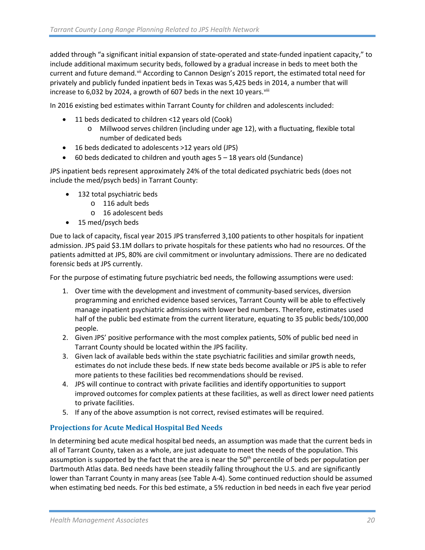added through "a significant initial expansion of state-operated and state-funded inpatient capacity," to include additional maximum security beds, followed by a gradual increase in beds to meet both the current and future demand. Vii According to Cannon Design's 2015 report, the estimated total need for privately and publicly funded inpatient beds in Texas was 5,425 beds in 2014, a number that will increase to 6,032 by 2024, a growth of 607 beds in the next 10 years. Vill

In 2016 existing bed estimates within Tarrant County for children and adolescents included:

- 11 beds dedicated to children <12 years old (Cook)
	- o Millwood serves children (including under age 12), with a fluctuating, flexible total number of dedicated beds
- 16 beds dedicated to adolescents >12 years old (JPS)
- $\bullet$  60 beds dedicated to children and youth ages  $5 18$  years old (Sundance)

JPS inpatient beds represent approximately 24% of the total dedicated psychiatric beds (does not include the med/psych beds) in Tarrant County:

- 132 total psychiatric beds
	- o 116 adult beds
	- o 16 adolescent beds
- 15 med/psych beds

Due to lack of capacity, fiscal year 2015 JPS transferred 3,100 patients to other hospitals for inpatient admission. JPS paid \$3.1M dollars to private hospitals for these patients who had no resources. Of the patients admitted at JPS, 80% are civil commitment or involuntary admissions. There are no dedicated forensic beds at JPS currently.

For the purpose of estimating future psychiatric bed needs, the following assumptions were used:

- 1. Over time with the development and investment of community-based services, diversion programming and enriched evidence based services, Tarrant County will be able to effectively manage inpatient psychiatric admissions with lower bed numbers. Therefore, estimates used half of the public bed estimate from the current literature, equating to 35 public beds/100,000 people.
- 2. Given JPS' positive performance with the most complex patients, 50% of public bed need in Tarrant County should be located within the JPS facility.
- 3. Given lack of available beds within the state psychiatric facilities and similar growth needs, estimates do not include these beds. If new state beds become available or JPS is able to refer more patients to these facilities bed recommendations should be revised.
- 4. JPS will continue to contract with private facilities and identify opportunities to support improved outcomes for complex patients at these facilities, as well as direct lower need patients to private facilities.
- 5. If any of the above assumption is not correct, revised estimates will be required.

#### <span id="page-21-0"></span>**Projections for Acute Medical Hospital Bed Needs**

In determining bed acute medical hospital bed needs, an assumption was made that the current beds in all of Tarrant County, taken as a whole, are just adequate to meet the needs of the population. This assumption is supported by the fact that the area is near the 50<sup>th</sup> percentile of beds per population per Dartmouth Atlas data. Bed needs have been steadily falling throughout the U.S. and are significantly lower than Tarrant County in many areas (see Table A-4). Some continued reduction should be assumed when estimating bed needs. For this bed estimate, a 5% reduction in bed needs in each five year period